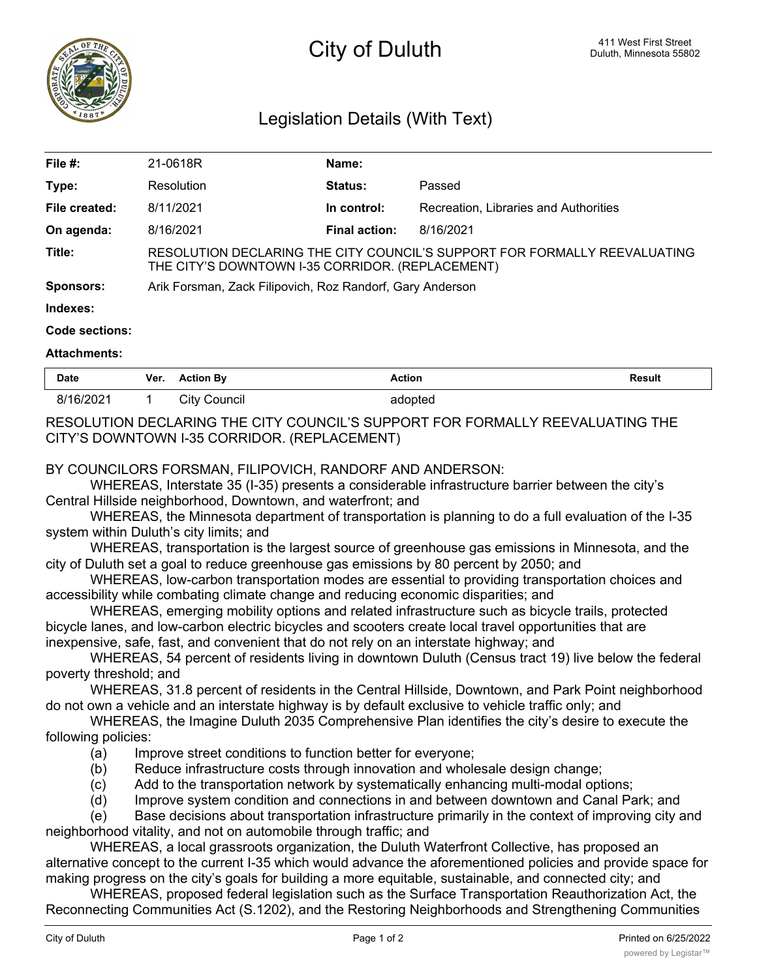

# City of Duluth **City of Duluth City** of Duluth **Duluth Duluth**, Minnesota 55802

# Legislation Details (With Text)

| File $#$ :    | 21-0618R                                                                                                                      | Name:                |                                       |  |  |
|---------------|-------------------------------------------------------------------------------------------------------------------------------|----------------------|---------------------------------------|--|--|
| Type:         | Resolution                                                                                                                    | <b>Status:</b>       | Passed                                |  |  |
| File created: | 8/11/2021                                                                                                                     | In control:          | Recreation, Libraries and Authorities |  |  |
| On agenda:    | 8/16/2021                                                                                                                     | <b>Final action:</b> | 8/16/2021                             |  |  |
| Title:        | RESOLUTION DECLARING THE CITY COUNCIL'S SUPPORT FOR FORMALLY REEVALUATING<br>THE CITY'S DOWNTOWN I-35 CORRIDOR. (REPLACEMENT) |                      |                                       |  |  |
| Sponsors:     | Arik Forsman, Zack Filipovich, Roz Randorf, Gary Anderson                                                                     |                      |                                       |  |  |
| Indexes:      |                                                                                                                               |                      |                                       |  |  |

#### **Code sections:**

#### **Attachments:**

| <b>Date</b> | Ver. | <b>Action By</b> | Action<br>. | Result<br>. |
|-------------|------|------------------|-------------|-------------|
| 8/16/2021   |      | City<br>Jouncil  | opted       |             |

## RESOLUTION DECLARING THE CITY COUNCIL'S SUPPORT FOR FORMALLY REEVALUATING THE CITY'S DOWNTOWN I-35 CORRIDOR. (REPLACEMENT)

### BY COUNCILORS FORSMAN, FILIPOVICH, RANDORF AND ANDERSON:

WHEREAS, Interstate 35 (I-35) presents a considerable infrastructure barrier between the city's Central Hillside neighborhood, Downtown, and waterfront; and

WHEREAS, the Minnesota department of transportation is planning to do a full evaluation of the I-35 system within Duluth's city limits; and

WHEREAS, transportation is the largest source of greenhouse gas emissions in Minnesota, and the city of Duluth set a goal to reduce greenhouse gas emissions by 80 percent by 2050; and

WHEREAS, low-carbon transportation modes are essential to providing transportation choices and accessibility while combating climate change and reducing economic disparities; and

WHEREAS, emerging mobility options and related infrastructure such as bicycle trails, protected bicycle lanes, and low-carbon electric bicycles and scooters create local travel opportunities that are inexpensive, safe, fast, and convenient that do not rely on an interstate highway; and

WHEREAS, 54 percent of residents living in downtown Duluth (Census tract 19) live below the federal poverty threshold; and

WHEREAS, 31.8 percent of residents in the Central Hillside, Downtown, and Park Point neighborhood do not own a vehicle and an interstate highway is by default exclusive to vehicle traffic only; and

WHEREAS, the Imagine Duluth 2035 Comprehensive Plan identifies the city's desire to execute the following policies:

- (a) Improve street conditions to function better for everyone;
- (b) Reduce infrastructure costs through innovation and wholesale design change;
- (c) Add to the transportation network by systematically enhancing multi-modal options;
- (d) Improve system condition and connections in and between downtown and Canal Park; and

(e) Base decisions about transportation infrastructure primarily in the context of improving city and neighborhood vitality, and not on automobile through traffic; and

WHEREAS, a local grassroots organization, the Duluth Waterfront Collective, has proposed an alternative concept to the current I-35 which would advance the aforementioned policies and provide space for making progress on the city's goals for building a more equitable, sustainable, and connected city; and

WHEREAS, proposed federal legislation such as the Surface Transportation Reauthorization Act, the Reconnecting Communities Act (S.1202), and the Restoring Neighborhoods and Strengthening Communities